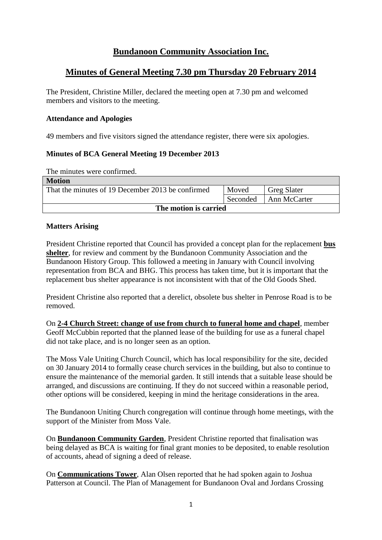# **Bundanoon Community Association Inc.**

# **Minutes of General Meeting 7.30 pm Thursday 20 February 2014**

The President, Christine Miller, declared the meeting open at 7.30 pm and welcomed members and visitors to the meeting.

#### **Attendance and Apologies**

49 members and five visitors signed the attendance register, there were six apologies.

## **Minutes of BCA General Meeting 19 December 2013**

The minutes were confirmed.

| <b>Motion</b>                                     |          |                    |  |  |
|---------------------------------------------------|----------|--------------------|--|--|
| That the minutes of 19 December 2013 be confirmed | Moved    | <b>Greg Slater</b> |  |  |
|                                                   | Seconded | Ann McCarter       |  |  |
| The motion is carried                             |          |                    |  |  |

## **Matters Arising**

President Christine reported that Council has provided a concept plan for the replacement **bus shelter**, for review and comment by the Bundanoon Community Association and the Bundanoon History Group. This followed a meeting in January with Council involving representation from BCA and BHG. This process has taken time, but it is important that the replacement bus shelter appearance is not inconsistent with that of the Old Goods Shed.

President Christine also reported that a derelict, obsolete bus shelter in Penrose Road is to be removed.

On **2-4 Church Street: change of use from church to funeral home and chapel**, member Geoff McCubbin reported that the planned lease of the building for use as a funeral chapel did not take place, and is no longer seen as an option.

The Moss Vale Uniting Church Council, which has local responsibility for the site, decided on 30 January 2014 to formally cease church services in the building, but also to continue to ensure the maintenance of the memorial garden. It still intends that a suitable lease should be arranged, and discussions are continuing. If they do not succeed within a reasonable period, other options will be considered, keeping in mind the heritage considerations in the area.

The Bundanoon Uniting Church congregation will continue through home meetings, with the support of the Minister from Moss Vale.

On **Bundanoon Community Garden**, President Christine reported that finalisation was being delayed as BCA is waiting for final grant monies to be deposited, to enable resolution of accounts, ahead of signing a deed of release.

On **Communications Tower**, Alan Olsen reported that he had spoken again to Joshua Patterson at Council. The Plan of Management for Bundanoon Oval and Jordans Crossing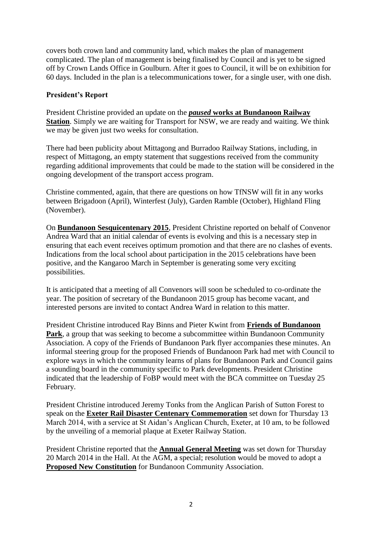covers both crown land and community land, which makes the plan of management complicated. The plan of management is being finalised by Council and is yet to be signed off by Crown Lands Office in Goulburn. After it goes to Council, it will be on exhibition for 60 days. Included in the plan is a telecommunications tower, for a single user, with one dish.

## **President's Report**

President Christine provided an update on the *paused* **works at Bundanoon Railway Station**. Simply we are waiting for Transport for NSW, we are ready and waiting. We think we may be given just two weeks for consultation.

There had been publicity about Mittagong and Burradoo Railway Stations, including, in respect of Mittagong, an empty statement that suggestions received from the community regarding additional improvements that could be made to the station will be considered in the ongoing development of the transport access program.

Christine commented, again, that there are questions on how TfNSW will fit in any works between Brigadoon (April), Winterfest (July), Garden Ramble (October), Highland Fling (November).

On **Bundanoon Sesquicentenary 2015**, President Christine reported on behalf of Convenor Andrea Ward that an initial calendar of events is evolving and this is a necessary step in ensuring that each event receives optimum promotion and that there are no clashes of events. Indications from the local school about participation in the 2015 celebrations have been positive, and the Kangaroo March in September is generating some very exciting possibilities.

It is anticipated that a meeting of all Convenors will soon be scheduled to co-ordinate the year. The position of secretary of the Bundanoon 2015 group has become vacant, and interested persons are invited to contact Andrea Ward in relation to this matter.

President Christine introduced Ray Binns and Pieter Kwint from **Friends of Bundanoon Park**, a group that was seeking to become a subcommittee within Bundanoon Community Association. A copy of the Friends of Bundanoon Park flyer accompanies these minutes. An informal steering group for the proposed Friends of Bundanoon Park had met with Council to explore ways in which the community learns of plans for Bundanoon Park and Council gains a sounding board in the community specific to Park developments. President Christine indicated that the leadership of FoBP would meet with the BCA committee on Tuesday 25 February.

President Christine introduced Jeremy Tonks from the Anglican Parish of Sutton Forest to speak on the **Exeter Rail Disaster Centenary Commemoration** set down for Thursday 13 March 2014, with a service at St Aidan's Anglican Church, Exeter, at 10 am, to be followed by the unveiling of a memorial plaque at Exeter Railway Station.

President Christine reported that the **Annual General Meeting** was set down for Thursday 20 March 2014 in the Hall. At the AGM, a special; resolution would be moved to adopt a **Proposed New Constitution** for Bundanoon Community Association.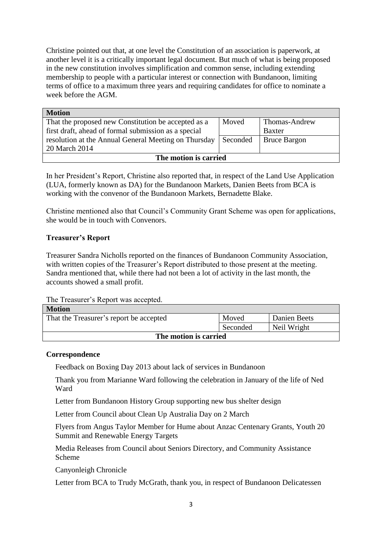Christine pointed out that, at one level the Constitution of an association is paperwork, at another level it is a critically important legal document. But much of what is being proposed in the new constitution involves simplification and common sense, including extending membership to people with a particular interest or connection with Bundanoon, limiting terms of office to a maximum three years and requiring candidates for office to nominate a week before the AGM.

| <b>Motion</b>                                        |          |                     |  |  |
|------------------------------------------------------|----------|---------------------|--|--|
| That the proposed new Constitution be accepted as a  | Moved    | Thomas-Andrew       |  |  |
| first draft, ahead of formal submission as a special |          | <b>Baxter</b>       |  |  |
| resolution at the Annual General Meeting on Thursday | Seconded | <b>Bruce Bargon</b> |  |  |
| 20 March 2014                                        |          |                     |  |  |
| The motion is carried                                |          |                     |  |  |

In her President's Report, Christine also reported that, in respect of the Land Use Application (LUA, formerly known as DA) for the Bundanoon Markets, Danien Beets from BCA is working with the convenor of the Bundanoon Markets, Bernadette Blake.

Christine mentioned also that Council's Community Grant Scheme was open for applications, she would be in touch with Convenors.

## **Treasurer's Report**

Treasurer Sandra Nicholls reported on the finances of Bundanoon Community Association, with written copies of the Treasurer's Report distributed to those present at the meeting. Sandra mentioned that, while there had not been a lot of activity in the last month, the accounts showed a small profit.

The Treasurer's Report was accepted.

| <b>Motion</b>                           |          |              |  |
|-----------------------------------------|----------|--------------|--|
| That the Treasurer's report be accepted | Moved    | Danien Beets |  |
|                                         | Seconded | Neil Wright  |  |
| The motion is carried                   |          |              |  |

## **Correspondence**

Feedback on Boxing Day 2013 about lack of services in Bundanoon

Thank you from Marianne Ward following the celebration in January of the life of Ned Ward

Letter from Bundanoon History Group supporting new bus shelter design

Letter from Council about Clean Up Australia Day on 2 March

Flyers from Angus Taylor Member for Hume about Anzac Centenary Grants, Youth 20 Summit and Renewable Energy Targets

Media Releases from Council about Seniors Directory, and Community Assistance Scheme

Canyonleigh Chronicle

Letter from BCA to Trudy McGrath, thank you, in respect of Bundanoon Delicatessen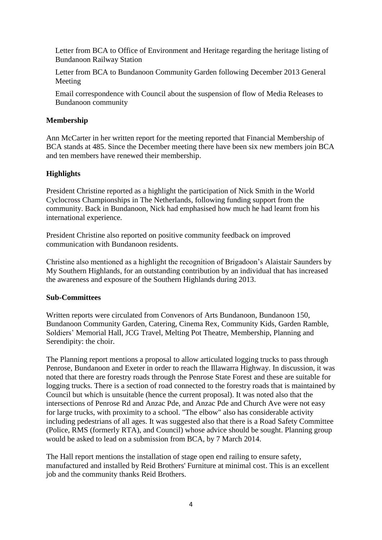Letter from BCA to Office of Environment and Heritage regarding the heritage listing of Bundanoon Railway Station

Letter from BCA to Bundanoon Community Garden following December 2013 General Meeting

Email correspondence with Council about the suspension of flow of Media Releases to Bundanoon community

## **Membership**

Ann McCarter in her written report for the meeting reported that Financial Membership of BCA stands at 485. Since the December meeting there have been six new members join BCA and ten members have renewed their membership.

## **Highlights**

President Christine reported as a highlight the participation of Nick Smith in the World Cyclocross Championships in The Netherlands, following funding support from the community. Back in Bundanoon, Nick had emphasised how much he had learnt from his international experience.

President Christine also reported on positive community feedback on improved communication with Bundanoon residents.

Christine also mentioned as a highlight the recognition of Brigadoon's Alaistair Saunders by My Southern Highlands, for an outstanding contribution by an individual that has increased the awareness and exposure of the Southern Highlands during 2013.

#### **Sub-Committees**

Written reports were circulated from Convenors of Arts Bundanoon, Bundanoon 150, Bundanoon Community Garden, Catering, Cinema Rex, Community Kids, Garden Ramble, Soldiers' Memorial Hall, JCG Travel, Melting Pot Theatre, Membership, Planning and Serendipity: the choir.

The Planning report mentions a proposal to allow articulated logging trucks to pass through Penrose, Bundanoon and Exeter in order to reach the Illawarra Highway. In discussion, it was noted that there are forestry roads through the Penrose State Forest and these are suitable for logging trucks. There is a section of road connected to the forestry roads that is maintained by Council but which is unsuitable (hence the current proposal). It was noted also that the intersections of Penrose Rd and Anzac Pde, and Anzac Pde and Church Ave were not easy for large trucks, with proximity to a school. "The elbow" also has considerable activity including pedestrians of all ages. It was suggested also that there is a Road Safety Committee (Police, RMS (formerly RTA), and Council) whose advice should be sought. Planning group would be asked to lead on a submission from BCA, by 7 March 2014.

The Hall report mentions the installation of stage open end railing to ensure safety, manufactured and installed by Reid Brothers' Furniture at minimal cost. This is an excellent job and the community thanks Reid Brothers.